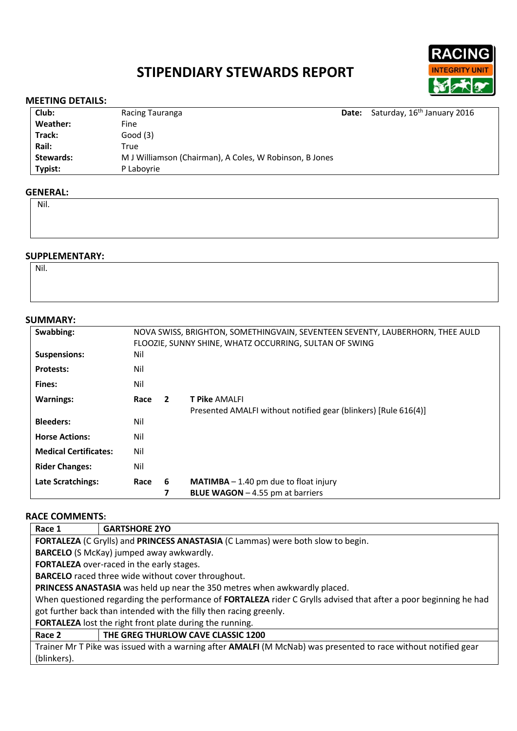# **STIPENDIARY STEWARDS REPORT**



### **MEETING DETAILS:**

| Club:     | Racing Tauranga                                         | Date: Saturday, 16 <sup>th</sup> January 2016 |
|-----------|---------------------------------------------------------|-----------------------------------------------|
| Weather:  | Fine                                                    |                                               |
| Track:    | Good(3)                                                 |                                               |
| Rail:     | True                                                    |                                               |
| Stewards: | M J Williamson (Chairman), A Coles, W Robinson, B Jones |                                               |
| Typist:   | P Laboyrie                                              |                                               |

#### **GENERAL:**

Nil.

# **SUPPLEMENTARY:**

Nil.

| <b>SUMMARY:</b>              |                                                                               |                |                                                                 |  |  |
|------------------------------|-------------------------------------------------------------------------------|----------------|-----------------------------------------------------------------|--|--|
| Swabbing:                    | NOVA SWISS, BRIGHTON, SOMETHINGVAIN, SEVENTEEN SEVENTY, LAUBERHORN, THEE AULD |                |                                                                 |  |  |
|                              |                                                                               |                | FLOOZIE, SUNNY SHINE, WHATZ OCCURRING, SULTAN OF SWING          |  |  |
| <b>Suspensions:</b>          | Nil                                                                           |                |                                                                 |  |  |
| <b>Protests:</b>             | Nil                                                                           |                |                                                                 |  |  |
| Fines:                       | Nil                                                                           |                |                                                                 |  |  |
| <b>Warnings:</b>             | Race                                                                          | $\overline{2}$ | <b>T Pike AMALFI</b>                                            |  |  |
|                              |                                                                               |                | Presented AMALFI without notified gear (blinkers) [Rule 616(4)] |  |  |
| <b>Bleeders:</b>             | Nil                                                                           |                |                                                                 |  |  |
| <b>Horse Actions:</b>        | Nil                                                                           |                |                                                                 |  |  |
| <b>Medical Certificates:</b> | Nil                                                                           |                |                                                                 |  |  |
| <b>Rider Changes:</b>        | Nil                                                                           |                |                                                                 |  |  |
| <b>Late Scratchings:</b>     | Race                                                                          | 6              | <b>MATIMBA</b> $- 1.40$ pm due to float injury                  |  |  |
|                              |                                                                               | 7              | <b>BLUE WAGON</b> $-$ 4.55 pm at barriers                       |  |  |

#### **RACE COMMENTS:**

| Race 1                                                                                                           | <b>GARTSHORE 2YO</b>               |  |  |  |
|------------------------------------------------------------------------------------------------------------------|------------------------------------|--|--|--|
| FORTALEZA (C Grylls) and PRINCESS ANASTASIA (C Lammas) were both slow to begin.                                  |                                    |  |  |  |
| <b>BARCELO</b> (S McKay) jumped away awkwardly.                                                                  |                                    |  |  |  |
| FORTALEZA over-raced in the early stages.                                                                        |                                    |  |  |  |
| <b>BARCELO</b> raced three wide without cover throughout.                                                        |                                    |  |  |  |
| PRINCESS ANASTASIA was held up near the 350 metres when awkwardly placed.                                        |                                    |  |  |  |
| When questioned regarding the performance of FORTALEZA rider C Grylls advised that after a poor beginning he had |                                    |  |  |  |
| got further back than intended with the filly then racing greenly.                                               |                                    |  |  |  |
| <b>FORTALEZA</b> lost the right front plate during the running.                                                  |                                    |  |  |  |
| Race 2                                                                                                           | THE GREG THURLOW CAVE CLASSIC 1200 |  |  |  |
|                                                                                                                  |                                    |  |  |  |

Trainer Mr T Pike was issued with a warning after **AMALFI** (M McNab) was presented to race without notified gear (blinkers).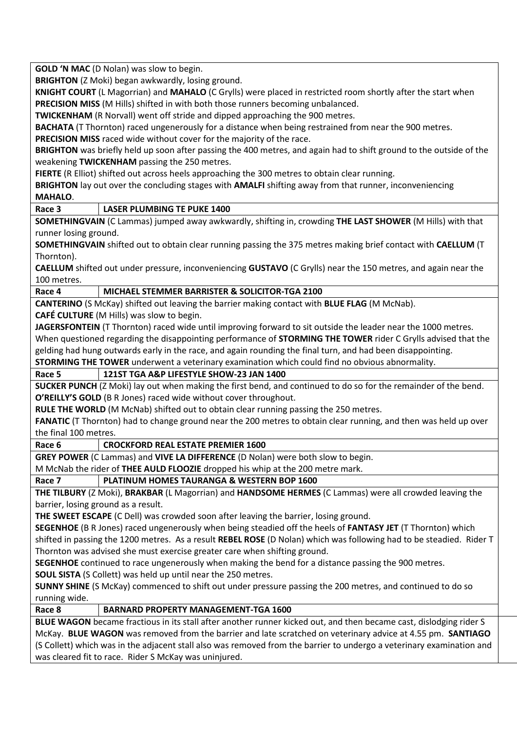**GOLD 'N MAC** (D Nolan) was slow to begin.

**BRIGHTON** (Z Moki) began awkwardly, losing ground.

**KNIGHT COURT** (L Magorrian) and **MAHALO** (C Grylls) were placed in restricted room shortly after the start when **PRECISION MISS** (M Hills) shifted in with both those runners becoming unbalanced.

**TWICKENHAM** (R Norvall) went off stride and dipped approaching the 900 metres.

**BACHATA** (T Thornton) raced ungenerously for a distance when being restrained from near the 900 metres. **PRECISION MISS** raced wide without cover for the majority of the race.

**BRIGHTON** was briefly held up soon after passing the 400 metres, and again had to shift ground to the outside of the weakening **TWICKENHAM** passing the 250 metres.

**FIERTE** (R Elliot) shifted out across heels approaching the 300 metres to obtain clear running.

**BRIGHTON** lay out over the concluding stages with **AMALFI** shifting away from that runner, inconveniencing **MAHALO**.

**Race 3 LASER PLUMBING TE PUKE 1400**

**SOMETHINGVAIN** (C Lammas) jumped away awkwardly, shifting in, crowding **THE LAST SHOWER** (M Hills) with that runner losing ground.

**SOMETHINGVAIN** shifted out to obtain clear running passing the 375 metres making brief contact with **CAELLUM** (T Thornton).

**CAELLUM** shifted out under pressure, inconveniencing **GUSTAVO** (C Grylls) near the 150 metres, and again near the 100 metres.

## **Race 4 MICHAEL STEMMER BARRISTER & SOLICITOR-TGA 2100**

**CANTERINO** (S McKay) shifted out leaving the barrier making contact with **BLUE FLAG** (M McNab).

**CAFÉ CULTURE** (M Hills) was slow to begin.

**JAGERSFONTEIN** (T Thornton) raced wide until improving forward to sit outside the leader near the 1000 metres. When questioned regarding the disappointing performance of **STORMING THE TOWER** rider C Grylls advised that the gelding had hung outwards early in the race, and again rounding the final turn, and had been disappointing. **STORMING THE TOWER** underwent a veterinary examination which could find no obvious abnormality.

# **Race 5 121ST TGA A&P LIFESTYLE SHOW-23 JAN 1400**

**SUCKER PUNCH** (Z Moki) lay out when making the first bend, and continued to do so for the remainder of the bend. **O'REILLY'S GOLD** (B R Jones) raced wide without cover throughout.

**RULE THE WORLD** (M McNab) shifted out to obtain clear running passing the 250 metres.

**FANATIC** (T Thornton) had to change ground near the 200 metres to obtain clear running, and then was held up over the final 100 metres.

#### **Race 6 CROCKFORD REAL ESTATE PREMIER 1600**

**GREY POWER** (C Lammas) and **VIVE LA DIFFERENCE** (D Nolan) were both slow to begin.

M McNab the rider of **THEE AULD FLOOZIE** dropped his whip at the 200 metre mark.

**Race 7 PLATINUM HOMES TAURANGA & WESTERN BOP 1600**

**THE TILBURY** (Z Moki), **BRAKBAR** (L Magorrian) and **HANDSOME HERMES** (C Lammas) were all crowded leaving the barrier, losing ground as a result.

**THE SWEET ESCAPE** (C Dell) was crowded soon after leaving the barrier, losing ground.

**SEGENHOE** (B R Jones) raced ungenerously when being steadied off the heels of **FANTASY JET** (T Thornton) which shifted in passing the 1200 metres. As a result **REBEL ROSE** (D Nolan) which was following had to be steadied. Rider T Thornton was advised she must exercise greater care when shifting ground.

**SEGENHOE** continued to race ungenerously when making the bend for a distance passing the 900 metres.

**SOUL SISTA** (S Collett) was held up until near the 250 metres.

**SUNNY SHINE** (S McKay) commenced to shift out under pressure passing the 200 metres, and continued to do so running wide.

#### **Race 8 BARNARD PROPERTY MANAGEMENT-TGA 1600**

**BLUE WAGON** became fractious in its stall after another runner kicked out, and then became cast, dislodging rider S McKay. **BLUE WAGON** was removed from the barrier and late scratched on veterinary advice at 4.55 pm. **SANTIAGO** (S Collett) which was in the adjacent stall also was removed from the barrier to undergo a veterinary examination and was cleared fit to race. Rider S McKay was uninjured.